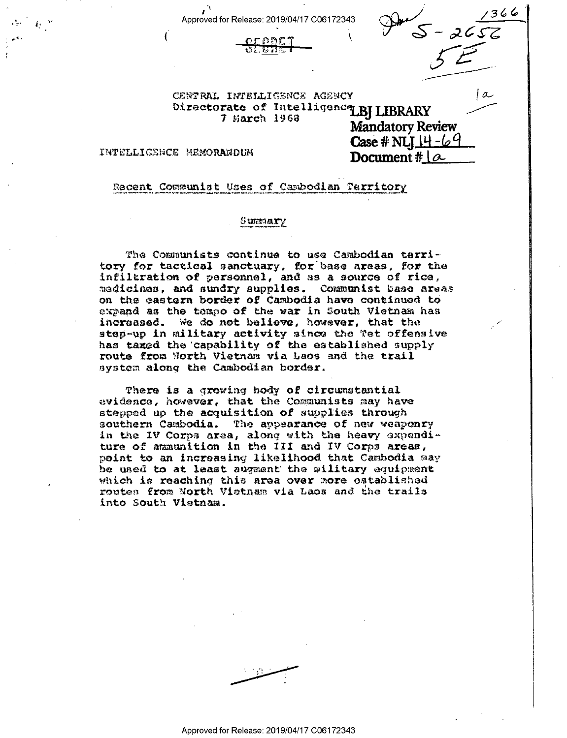Approved for Release: 2019/04/17 C06172343





 $\sigma$ 

CENTRAL INTELLIGENCE AGENCY Directorate of Intelligence BJ LIBRARY  $7$  March 1968

**Mandatory Review** Case # NLI  $14 - 69$ Document #  $\alpha$ 

INTELLIGENCE MEMORANDUM

Recent Communist Uses of Cambodian Territory

# Summary

The Communists continue to use Cambodian territory for tactical sanctuary, for base areas, for the infiltration of personnel, and as a source of rice, medicines, and sundry supplies. Communist base areas on the eastern border of Cambodia have continued to expand as the tempo of the war in South Vietnam has increased. We do not believe, however, that the step-up in military activity since the Tet offensive has taxed the capability of the established supply route from North Vietnam via Laos and the trail system along the Cambodian border.

There is a growing body of circumstantial evidence, however, that the Communists may have stepped up the acquisition of supplies through southern Cambodia. The appearance of new weaponry in the IV Corps area, along with the heavy expenditure of ammunition in the III and IV Corps areas, point to an increasing likelihood that Cambodia may be used to at least augment the military equipment which is reaching this area over more established routes from North Vietnam via Laos and the trails into South Vietnam.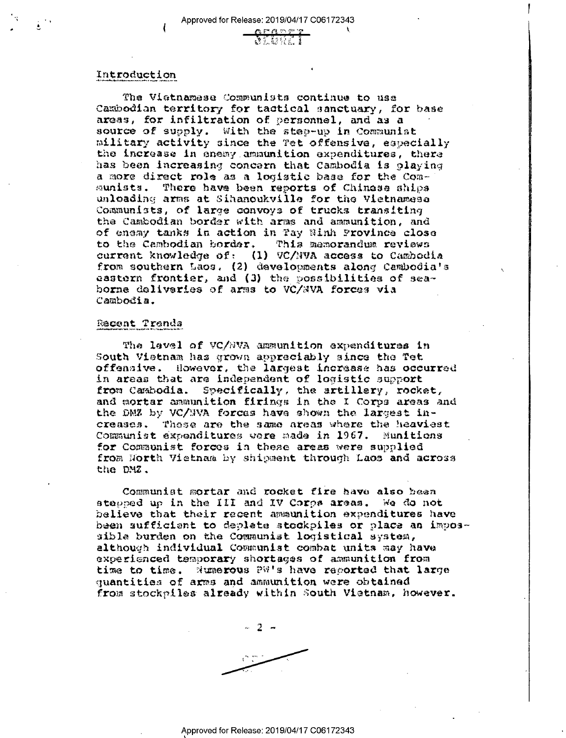### Introduction

The Vietnamese Communists continue to use Cambodian territory for tactical sanctuary, for base areas, for infiltration of personnel, and as a source of supply. With the step-up in Communist military activity since the Tet offensive, especially the increase in enemy ammunition expenditures, there has been increasing concern that Cambodia is playing a more direct role as a logistic base for the Comsunists. There have been reports of Chinese ships unloading arms at Sihanoukville for the Vietnamese Communists, of large convoys of trucks transiting the Cambodian border with arms and ammunition, and of eneay tanks in action in Pay Ninh Province close to the Cambodian border. This memorandum reviews current knowledge of: (1) VC/NVA access to Cambodia<br>from southern Laos. (2) developments along Cambodia's eastern frontier, and (3) the possibilities of seahorne deliveries of arms to VC/NVA forces via Cambodia.

### Recent Trends

The lavel of VC/NVA ammunition expenditures in South Vietnam has grown appraciably since the fet offensive. However, the largest increase has occurred in areas that are independent of logistic support from Cambodia. Specifically, the artillery, rocket, and mortar ammunition firings in the I Corps areas and the DMZ by VC/NVA forces have shown the largest increases. These are the same areas where the heaviest Communist expenditures were made in 1967. Munitions for Communist forces in these areas were supplied from Horth Vietnam by shipment through Laos and across the DMZ.

Communist mortar and rocket fire have also been stepped up in the III and IV Corps areas. We do not believe that their recent ammunition expenditures have been sufficient to deplete stockpiles or place an impossible burden on the Communist logistical system, although individual Communist combat units may have experienced temporary shortages of ammunition from time to time. Numerous PW's have recorted that large quantities of arms and ammunition were obtained from stockpiles already within South Vietnam, however.

 $2 -$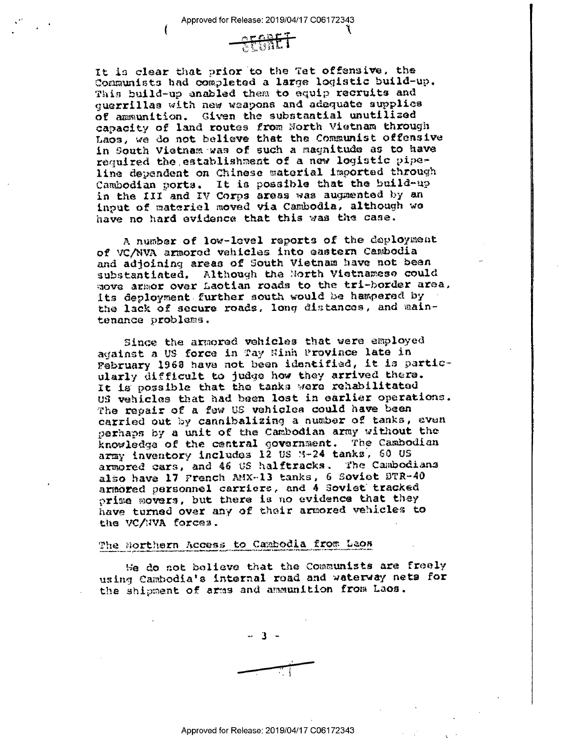

It is clear that prior to the Tet offensive, the Communists had completed a largo logistic bu1ld~up. This bu11d~up enabled them to equip rocruits and guerrillas with new weapons and aéoquato supplies of ammunition. Given the substantial unutllisod capacity of land routes from North Vietnam through Laos, we do not believe that the Communist offensive in South Vietnam was of such a magnitude as to have required the,establishment of a new logistic pipo~ line dependent on Chinese material imported through Cambodian ports. It is possible that the build-up in the III and IV Corps areas was augmented by an input of materiel moved via Cambodia, although we have no hard evidence that this was the case.

A number of low-level reports of the deployment of VC/NVA armored vehicles into eastern Cambodia and adjoininq areas of South Vietnam have not been substantiated. Although the North Vietnamese could move armor over Laotian roads to the tri-border area. its deployment further south would be hampered by the lack of secure roads, long distances, and maintenance problems.

Bince the armoroé vehicles that were employed against a U8 force in ray Hinh Provinca lato in Pebruary 1963 have not been identified, it is particularly difficult to judge how they arriveé there. It is possible that the tanks were rehabilitated US vehicles that had been lost in oarliar operations. The repair of a faw US vehicles could have been carried out by cannibalizing a number of tanks, even perhaps by a unit of the Cambodian army without the knowledge of the central government. The Cambodian army inventory includes 12 US M-24 tanks, 60 US armored oars, and 46 U5 halftxacks. The Cambodians also have 17 French AMX-13 tanks, 6 Soviet BTR-40 armored personnel carriers, and 4 Soviet tracked prime movers, but there is no evidence that they have turned over any of their armored vehicles to the VC/NVA forces.

#### The Horthern Access to Cambodia from Laos

oo do not believe that the Communists are freely using Cambodia's internal road and waterway nets for the shipment of arms and ammunition from Laos.

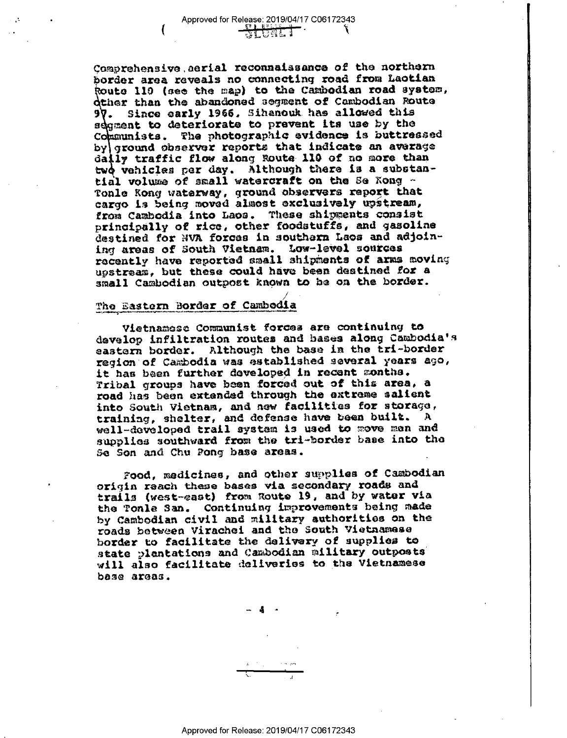Comprehensive aerial reconnaissance of the northern border area reveals no connecting road from Laotian Route 110 (see the map) to the Cambodian road system, dther than the abandoned segment of Cambodian Route Since early 1966, Sihanouk has allowed this 97. segment to deteriorate to prevent its use by the Communists. The photographic evidence is buttressed by ground observer reports that indicate an average daily traffic flow along Route 110 of no more than two vehicles per day. Although there is a substantial volume of small watercraft on the Se Nong -Tonle Rong waterway, ground observers report that cargo is being moved almost exclusively upstream, from Cambodia into Laos. These shipments consist principally of rice, other foodstuffs, and gasoline destined for NVA forces in southern Laos and adjoining areas of South Vietnam. Low-level sources recently have reported small shipments of arms moving ugstream, but these could have been destined for a small Cambodian outpost known to be on the border.

#### The Bastern Border of Cambedia

Vietnamese Communist forces are continuing to develop infiltration routes and bases along Cambodia's eastern border. Although the base in the tri-border region of Cambodia was established several years ago, it has been further developed in recent sonths. Tribal groups have been forced out of this area, a road has been extended through the extreme salient into South Vietnam, and new facilities for storage, training, shelter, and defense have been built. A well-developed trail system is used to move men and supplies southward from the tri-border base into the Se Son and Chu Pong base areas.

Food, medicines, and other supplies of Cambodian origin reach these bases via secondary roads and trails (west-east) from Route 19, and by water via the Tonla San. Continuing improvements being made by Cambodian civil and military authorities on the roads between Virachel and the South Vietnamese border to facilitate the delivery of supplies to state plantations and Cambodian military outposts will also facilitate deliveries to the Vietnamese base areas.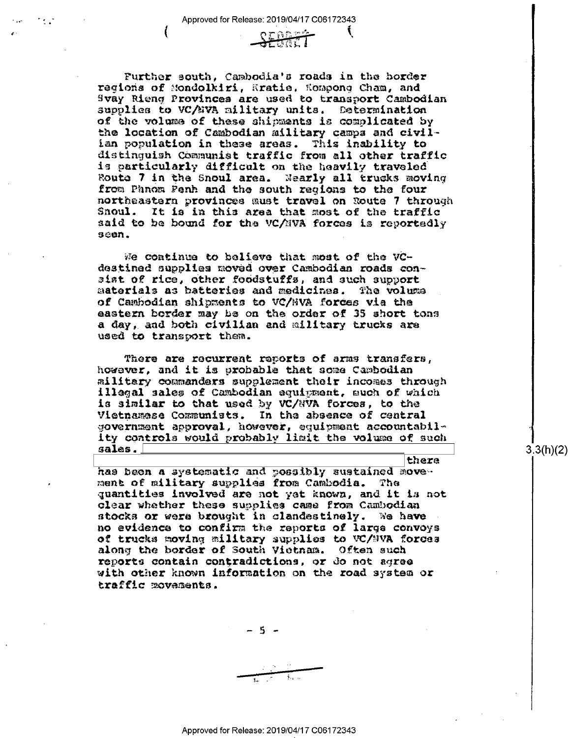$O T R R L$ =' ~' 5% <sup>1</sup>4. §

Further south, Cambodia's roads in the horder<br>regions of Mondolkiri, Hratie, Hompong Cham, and<br>Svay Rieng Provinces are used to transport Cambodian supplies to VC/EVA military units. Determination<br>of the volume of these shipments is complicated by<br>the location of Cambodian military campa and civilian population in these areas. ?his inability ta distinguish Communist traffic from all other traffic is particularly difficult on the heavily traveled Route 7 in the Snoul area. Nearly all trucks moving<br>from Phnom Penh and the south regions to the four from Phonos and the south and the south and the snoul. It is in this area that most of the traffic said to be bound for the vc/mva forces is reportedly seen.

We continue to believe that most of the VCdestined supplies moved over Cambodian roads cmn~ sist of rice, other foodstuffs, and such support<br>materials as batteries and medicines. The volume materials as batteries and medicines. The volume of Cambodian shipments to VC/NVA forces via the eastern border may be on the order of 35 short tons a day, and both civilian and military trucks axe used to txanspnrt them.

There are recurrent reports of arms transfers, however, and it is probable that some Cambodian military commanders supplement their incomes through illegal sales cf Cambodian equipment, much of which is similar to that used by VC/RVA forces, to the Vietnamese Communists. In the absence of central government approval, however, equipment acconntabil» ity controls would probably limit the volume of such sales.

has been a systematic and possibly sustained move-<br>ment of military supplies from Cambodia. The quantities involved are not yet known, and it is not clear whether these supplies came from Cambodian stocks or were brought in clandestinely. We have no evidence to confirm the reports of large convoys of trucks moving military supplies to VC/MVA forces along the border of South Vietnam. Often such reports contain contradictions, or do not agree with other known information an the road system or traffic movements.

\_ 5 -

 $\frac{1}{2}$  .

3.3(h)(2)

there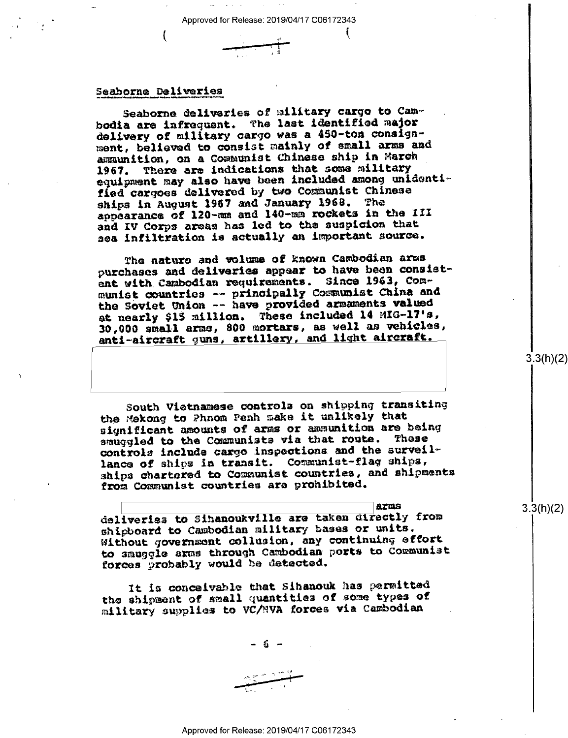## Seaborne Deliveries

Seaborne deliveries of military cargo to Cambodia are infrequent. The last identified major delivery of military cargo was a 450-ton consignment, believed to consist mainly of small arms and ammunition, on a Communist Chinese ship in March 1967. There are indications that some military equipment may also have been included among unidentified cargoes delivered by two Communist Chinese ships in August 1967 and January 1968. The appearance of 120-mm and 140-mm rockets in the III and IV Corps areas has led to the suspicion that sea infiltration is actually an important source.

The nature and volume of known Cambodian arms purchases and deliveries appear to have been consistent with Cambodian requirements. Since 1963, Communist countries -- principally Communist China and the Soviet Union -- have provided armaments valued at nearly \$15 million. These included 14 MIG-17's, 30,000 small arms, 800 mortars, as well as vehicles, anti-aircraft guns, artillery, and light aircraft.

South Vietnamese controls on shipping transiting the Mekong to Phnom Penh make it unlikely that significant amounts of arms or ammunition are being smuggled to the Communists via that route. These controls include cargo inspections and the surveillance of ships in transit. Communist-flag ships, ships chartered to Communist countries, and shipments from Communist countries are prohibited.

**ATES** deliveries to Sihanoukville are taken directly from shipboard to Cambodian military bases or units. Without government collusion, any continuing effort to smuggle arms through Cambodian ports to Communist forces probably would be detected.

It is conceivable that Sibanouk has permitted the shipment of small quantities of some types of military supplies to VC/NVA forces via Cambodian

- 5 -

 $3.3(h)(2)$ 

 $3.3(h)(2)$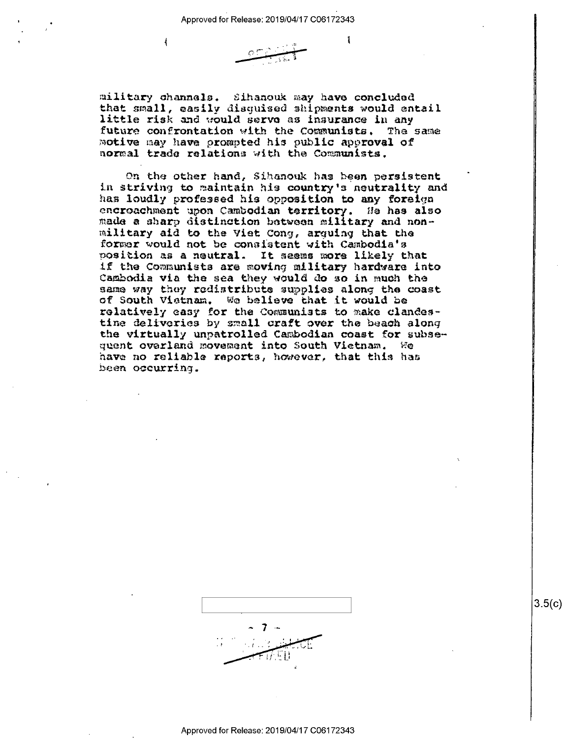4



l

military channels. Sihanouk may have concluded that small, easily disquised shipments would entail little risk and would serve as insurance in any future confrontation with the Communists. The same motive may have prompted his public approval of normal trade relations with the Communists.

On the other hand, Sihanouk has been persistent in striving to maintain his country's neutrality and has loudly professed his opposition to any foreign encreachment upon Cambodian territory. He has also made a sharp distinction between military and nonmilitary aid to the Viet Cong, arguing that the former would not be consistent with Cambodia's position as a neutral. It seems more likely that if the Communists are moving military hardware into Cambodia via the sea they would do so in much the same way they redistribute supplies along the coast of South Vistnam. We believe that it would be relatively casy for the Communists to make clandestine deliveries by small craft over the beach along the virtually unpatrolled Cambodian coast for subsequent overland movement into South Vietnam. We have no reliable reports, however, that this has been occurring.



 $3.5(c)$